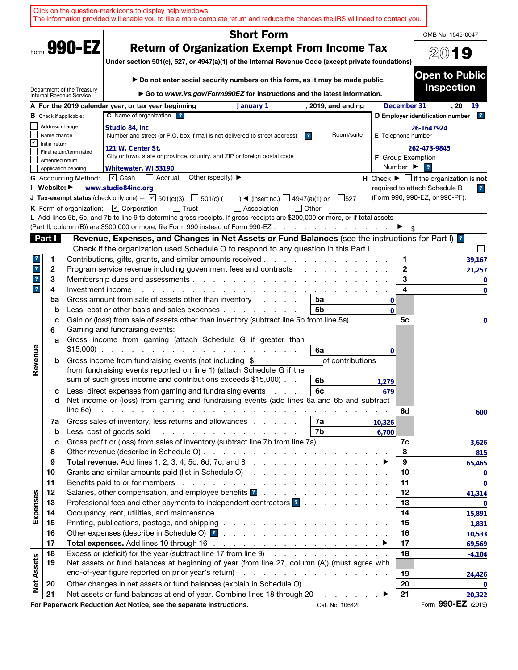|                         |                |                               | Click on the question-mark icons to display help windows.<br>The information provided will enable you to file a more complete return and reduce the chances the IRS will need to contact you.                                                                    |                 |                              |                                                               |
|-------------------------|----------------|-------------------------------|------------------------------------------------------------------------------------------------------------------------------------------------------------------------------------------------------------------------------------------------------------------|-----------------|------------------------------|---------------------------------------------------------------|
|                         |                |                               | <b>Short Form</b>                                                                                                                                                                                                                                                |                 |                              | OMB No. 1545-0047                                             |
|                         |                | Form 990-EZ                   | <b>Return of Organization Exempt From Income Tax</b>                                                                                                                                                                                                             |                 |                              |                                                               |
|                         |                |                               |                                                                                                                                                                                                                                                                  |                 |                              | 2019                                                          |
|                         |                |                               | Under section 501(c), 527, or 4947(a)(1) of the Internal Revenue Code (except private foundations)                                                                                                                                                               |                 |                              |                                                               |
|                         |                |                               | ► Do not enter social security numbers on this form, as it may be made public.                                                                                                                                                                                   |                 |                              | <b>Open to Public</b>                                         |
|                         |                | Department of the Treasury    | Go to www.irs.gov/Form990EZ for instructions and the latest information.                                                                                                                                                                                         |                 |                              | <b>Inspection</b>                                             |
|                         |                | Internal Revenue Service      | A For the 2019 calendar year, or tax year beginning<br>January 1<br>, 2019, and ending                                                                                                                                                                           |                 | December 31                  | . 20<br>19                                                    |
|                         |                | <b>B</b> Check if applicable: | C Name of organization ?                                                                                                                                                                                                                                         |                 |                              | 2 <br>D Employer identification number                        |
|                         | Address change |                               | Studio 84, Inc                                                                                                                                                                                                                                                   |                 |                              | 26-1647924                                                    |
|                         | Name change    |                               | Number and street (or P.O. box if mail is not delivered to street address)<br>Room/suite<br>$\overline{\mathbf{r}}$                                                                                                                                              |                 | E Telephone number           |                                                               |
| V                       | Initial return |                               | 121 W. Center St.                                                                                                                                                                                                                                                |                 |                              | 262-473-9845                                                  |
|                         | Amended return | Final return/terminated       | City or town, state or province, country, and ZIP or foreign postal code                                                                                                                                                                                         |                 | <b>F</b> Group Exemption     |                                                               |
|                         |                | Application pending           | Whitewater, WI 53190                                                                                                                                                                                                                                             |                 | Number $\blacktriangleright$ | $\overline{\mathbf{r}}$                                       |
|                         |                | <b>G</b> Accounting Method:   | Other (specify) $\blacktriangleright$<br>$ \mathbf{v} $ Cash<br>  Accrual                                                                                                                                                                                        |                 |                              | H Check $\blacktriangleright \Box$ if the organization is not |
|                         | I Website: ▶   |                               | www.studio84inc.org                                                                                                                                                                                                                                              |                 |                              | required to attach Schedule B<br>$\overline{\mathbf{r}}$      |
|                         |                |                               | <b>J Tax-exempt status</b> (check only one) - $\boxed{\triangleright}$ 501(c)(3)<br>501(c) (<br>4947(a)(1) or<br>527<br>$\triangleleft$ (insert no.)                                                                                                             |                 |                              | (Form 990, 990-EZ, or 990-PF).                                |
|                         |                |                               | K Form of organization: $\boxed{V}$ Corporation<br>Association<br>  Other<br>L Add lines 5b, 6c, and 7b to line 9 to determine gross receipts. If gross receipts are \$200,000 or more, or if total assets                                                       |                 |                              |                                                               |
|                         |                |                               | (Part II, column (B)) are \$500,000 or more, file Form 990 instead of Form 990-EZ.<br>the contract of the contract of                                                                                                                                            |                 |                              |                                                               |
|                         | Part I         |                               | Revenue, Expenses, and Changes in Net Assets or Fund Balances (see the instructions for Part I) [2]                                                                                                                                                              |                 |                              |                                                               |
|                         |                |                               | Check if the organization used Schedule O to respond to any question in this Part I.                                                                                                                                                                             |                 |                              |                                                               |
| ?                       | 1              |                               | Contributions, gifts, grants, and similar amounts received.                                                                                                                                                                                                      |                 | 1                            | 39,167                                                        |
| $\mathbf{r}$            | 2              |                               | Program service revenue including government fees and contracts                                                                                                                                                                                                  |                 | $\mathbf{2}$                 | 21,257                                                        |
| $\mathbf{?}$            | 3              |                               | Membership dues and assessments.<br>and the company of the company of                                                                                                                                                                                            |                 | 3                            | 0                                                             |
| $\overline{\mathbf{r}}$ | 4              | Investment income             |                                                                                                                                                                                                                                                                  |                 | 4                            | $\mathbf 0$                                                   |
|                         | 5a             |                               | Gross amount from sale of assets other than inventory<br>5a                                                                                                                                                                                                      | 0               |                              |                                                               |
|                         | b              |                               | Less: cost or other basis and sales expenses.<br>5b<br>the contract of the contract of                                                                                                                                                                           | $\Omega$        |                              |                                                               |
|                         | c<br>6         |                               | Gain or (loss) from sale of assets other than inventory (subtract line 5b from line 5a)<br>Gaming and fundraising events:                                                                                                                                        |                 | 5c                           | 0                                                             |
|                         | a              |                               | Gross income from gaming (attach Schedule G if greater than                                                                                                                                                                                                      |                 |                              |                                                               |
|                         |                |                               | $$15,000$<br>6a                                                                                                                                                                                                                                                  | 0               |                              |                                                               |
| Revenue                 | b              |                               | Gross income from fundraising events (not including \$<br>of contributions                                                                                                                                                                                       |                 |                              |                                                               |
|                         |                |                               | from fundraising events reported on line 1) (attach Schedule G if the                                                                                                                                                                                            |                 |                              |                                                               |
|                         |                |                               | sum of such gross income and contributions exceeds \$15,000).<br>6b                                                                                                                                                                                              | 1,279           |                              |                                                               |
|                         | с              |                               | Less: direct expenses from gaming and fundraising events<br>6c                                                                                                                                                                                                   | 679             |                              |                                                               |
|                         | d              | line 6c)                      | Net income or (loss) from gaming and fundraising events (add lines 6a and 6b and subtract<br>and the contract of the contract of the contract of the contract of the contract of                                                                                 |                 |                              |                                                               |
|                         | 7a             |                               | Gross sales of inventory, less returns and allowances<br>7а                                                                                                                                                                                                      |                 | 6d                           | 600                                                           |
|                         | b              |                               | Less: cost of goods sold<br>7b<br>and the contract of the contract of the contract of the contract of the contract of the contract of the contract of the contract of the contract of the contract of the contract of the contract of the contract of the contra | 10,326<br>6,700 |                              |                                                               |
|                         | c              |                               | Gross profit or (loss) from sales of inventory (subtract line 7b from line 7a)                                                                                                                                                                                   |                 | 7c                           | 3,626                                                         |
|                         | 8              |                               |                                                                                                                                                                                                                                                                  |                 | 8                            | 815                                                           |
|                         | 9              |                               | Total revenue. Add lines 1, 2, 3, 4, 5c, 6d, 7c, and 8 $\ldots$ $\ldots$ $\ldots$ $\ldots$ $\ldots$ $\ldots$                                                                                                                                                     |                 | 9                            | 65,465                                                        |
|                         | 10             |                               | Grants and similar amounts paid (list in Schedule O)                                                                                                                                                                                                             |                 | 10                           | 0                                                             |
|                         | 11             |                               |                                                                                                                                                                                                                                                                  |                 | 11                           | $\bf{0}$                                                      |
|                         | 12             |                               | Salaries, other compensation, and employee benefits ?                                                                                                                                                                                                            |                 | 12                           | 41,314                                                        |
| Expenses                | 13             |                               | Professional fees and other payments to independent contractors ?                                                                                                                                                                                                |                 | 13                           | 0                                                             |
|                         | 14<br>15       |                               |                                                                                                                                                                                                                                                                  |                 | 14<br>15                     | 15,891                                                        |
|                         | 16             |                               |                                                                                                                                                                                                                                                                  |                 | 16                           | 1,831                                                         |
|                         | 17             |                               | Total expenses. Add lines 10 through 16 $\ldots$ $\ldots$ $\ldots$ $\ldots$ $\ldots$ $\ldots$ $\ldots$                                                                                                                                                           |                 | 17                           | 10,533<br>69,569                                              |
|                         | 18             |                               | Excess or (deficit) for the year (subtract line 17 from line 9)                                                                                                                                                                                                  |                 | 18                           | $-4,104$                                                      |
| <b>Net Assets</b>       | 19             |                               | Net assets or fund balances at beginning of year (from line 27, column (A)) (must agree with                                                                                                                                                                     |                 |                              |                                                               |
|                         |                |                               |                                                                                                                                                                                                                                                                  |                 | 19                           | 24,426                                                        |
|                         | 20             |                               | Other changes in net assets or fund balances (explain in Schedule O)                                                                                                                                                                                             |                 | 20                           | $\mathbf 0$                                                   |
|                         | 21             |                               | Net assets or fund balances at end of year. Combine lines 18 through 20                                                                                                                                                                                          |                 | 21                           | 20,322                                                        |
|                         |                |                               | For Paperwork Reduction Act Notice, see the separate instructions.<br>Cat. No. 10642I                                                                                                                                                                            |                 |                              | Form 990-EZ (2019)                                            |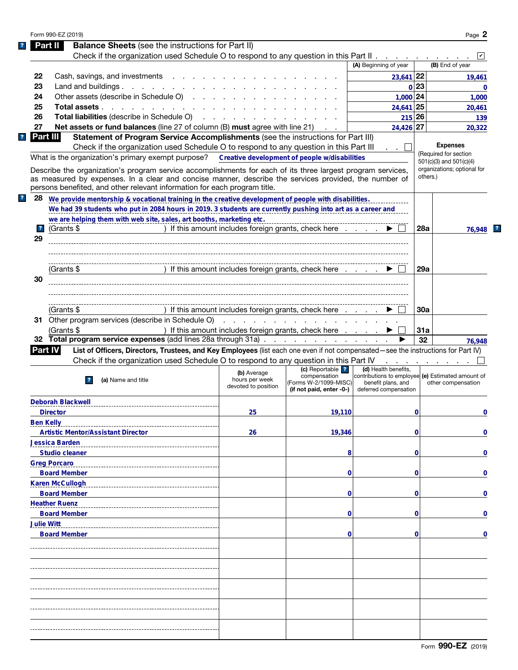|                         | Form 990-EZ (2019)       |                                                                                                                                                                                                                                                                                                                                                                     |                                                      |                                                                                       |                                                                                                                          |          |                                                                                                    |
|-------------------------|--------------------------|---------------------------------------------------------------------------------------------------------------------------------------------------------------------------------------------------------------------------------------------------------------------------------------------------------------------------------------------------------------------|------------------------------------------------------|---------------------------------------------------------------------------------------|--------------------------------------------------------------------------------------------------------------------------|----------|----------------------------------------------------------------------------------------------------|
|                         | Part II                  | <b>Balance Sheets</b> (see the instructions for Part II)                                                                                                                                                                                                                                                                                                            |                                                      |                                                                                       |                                                                                                                          |          |                                                                                                    |
|                         |                          | Check if the organization used Schedule O to respond to any question in this Part II                                                                                                                                                                                                                                                                                |                                                      |                                                                                       |                                                                                                                          |          |                                                                                                    |
|                         |                          |                                                                                                                                                                                                                                                                                                                                                                     |                                                      |                                                                                       | (A) Beginning of year                                                                                                    |          | (B) End of year                                                                                    |
| 22                      |                          | Cash, savings, and investments                                                                                                                                                                                                                                                                                                                                      |                                                      |                                                                                       | $23,641$ 22                                                                                                              |          | 19.461                                                                                             |
| 23                      |                          | Land and buildings.                                                                                                                                                                                                                                                                                                                                                 |                                                      |                                                                                       |                                                                                                                          | 0 23     | 0                                                                                                  |
| 24                      |                          | Other assets (describe in Schedule O)                                                                                                                                                                                                                                                                                                                               |                                                      |                                                                                       | $1,000$ 24                                                                                                               |          | 1,000                                                                                              |
| 25                      |                          | Total assets                                                                                                                                                                                                                                                                                                                                                        |                                                      |                                                                                       | 24,641 25                                                                                                                |          | 20,461                                                                                             |
| 26                      |                          | <b>Total liabilities (describe in Schedule O)</b>                                                                                                                                                                                                                                                                                                                   |                                                      |                                                                                       |                                                                                                                          | 215 26   | 139                                                                                                |
| 27                      | Part III                 | <b>Net assets or fund balances</b> (line 27 of column (B) must agree with line 21)<br>Statement of Program Service Accomplishments (see the instructions for Part III)                                                                                                                                                                                              |                                                      |                                                                                       | 24,426 27                                                                                                                |          | 20,322                                                                                             |
|                         |                          | Check if the organization used Schedule O to respond to any question in this Part III<br>What is the organization's primary exempt purpose?<br>Describe the organization's program service accomplishments for each of its three largest program services,<br>as measured by expenses. In a clear and concise manner, describe the services provided, the number of |                                                      | Creative development of people w/disabilities                                         | $\mathbf{r} = \mathbf{r} \cdot \mathbf{r}$                                                                               | others.) | <b>Expenses</b><br>(Required for section<br>501(c)(3) and 501(c)(4)<br>organizations; optional for |
| 28                      |                          | persons benefited, and other relevant information for each program title.<br>We provide mentorship & vocational training in the creative development of people with disabilities.                                                                                                                                                                                   |                                                      |                                                                                       |                                                                                                                          |          |                                                                                                    |
|                         |                          | We had 39 students who put in 2084 hours in 2019. 3 students are currently pushing into art as a career and                                                                                                                                                                                                                                                         |                                                      |                                                                                       |                                                                                                                          |          |                                                                                                    |
|                         |                          | we are helping them with web site, sales, art booths, marketing etc.                                                                                                                                                                                                                                                                                                |                                                      |                                                                                       |                                                                                                                          |          |                                                                                                    |
| $\overline{\mathbf{r}}$ | (Grants \$               |                                                                                                                                                                                                                                                                                                                                                                     | ) If this amount includes foreign grants, check here |                                                                                       |                                                                                                                          | 28a      | 76,948                                                                                             |
| 29                      |                          |                                                                                                                                                                                                                                                                                                                                                                     |                                                      |                                                                                       |                                                                                                                          |          |                                                                                                    |
|                         |                          |                                                                                                                                                                                                                                                                                                                                                                     |                                                      |                                                                                       |                                                                                                                          |          |                                                                                                    |
|                         |                          |                                                                                                                                                                                                                                                                                                                                                                     |                                                      |                                                                                       |                                                                                                                          |          |                                                                                                    |
|                         | (Grants \$               |                                                                                                                                                                                                                                                                                                                                                                     | ) If this amount includes foreign grants, check here |                                                                                       |                                                                                                                          | 29a      |                                                                                                    |
| 30                      |                          |                                                                                                                                                                                                                                                                                                                                                                     |                                                      |                                                                                       |                                                                                                                          |          |                                                                                                    |
|                         |                          |                                                                                                                                                                                                                                                                                                                                                                     |                                                      |                                                                                       |                                                                                                                          |          |                                                                                                    |
|                         |                          |                                                                                                                                                                                                                                                                                                                                                                     |                                                      |                                                                                       |                                                                                                                          |          |                                                                                                    |
|                         |                          |                                                                                                                                                                                                                                                                                                                                                                     |                                                      |                                                                                       |                                                                                                                          |          |                                                                                                    |
|                         |                          |                                                                                                                                                                                                                                                                                                                                                                     |                                                      |                                                                                       |                                                                                                                          |          |                                                                                                    |
|                         | (Grants \$               |                                                                                                                                                                                                                                                                                                                                                                     | ) If this amount includes foreign grants, check here |                                                                                       |                                                                                                                          | 30a      |                                                                                                    |
|                         |                          | 31 Other program services (describe in Schedule O)                                                                                                                                                                                                                                                                                                                  |                                                      | and the contract of the contract of the contract of                                   |                                                                                                                          |          |                                                                                                    |
|                         | (Grants \$               |                                                                                                                                                                                                                                                                                                                                                                     | ) If this amount includes foreign grants, check here |                                                                                       |                                                                                                                          | 31a      |                                                                                                    |
|                         |                          | 32 Total program service expenses (add lines 28a through 31a)                                                                                                                                                                                                                                                                                                       |                                                      |                                                                                       |                                                                                                                          | 32       |                                                                                                    |
|                         | <b>Part IV</b>           | List of Officers, Directors, Trustees, and Key Employees (list each one even if not compensated—see the instructions for Part IV)                                                                                                                                                                                                                                   |                                                      |                                                                                       |                                                                                                                          |          |                                                                                                    |
|                         |                          | Check if the organization used Schedule O to respond to any question in this Part IV                                                                                                                                                                                                                                                                                |                                                      |                                                                                       |                                                                                                                          |          |                                                                                                    |
|                         |                          | (a) Name and title                                                                                                                                                                                                                                                                                                                                                  | (b) Average<br>hours per week<br>devoted to position | (c) Reportable ?<br>compensation<br>(Forms W-2/1099-MISC)<br>(if not paid, enter -0-) | (d) Health benefits,<br>contributions to employee (e) Estimated amount of<br>benefit plans, and<br>deferred compensation |          | other compensation                                                                                 |
|                         | <b>Deborah Blackwell</b> |                                                                                                                                                                                                                                                                                                                                                                     |                                                      |                                                                                       |                                                                                                                          |          |                                                                                                    |
|                         | <b>Director</b>          |                                                                                                                                                                                                                                                                                                                                                                     | 25                                                   | 19,110                                                                                |                                                                                                                          | 0        |                                                                                                    |
|                         | <b>Ben Kelly</b>         |                                                                                                                                                                                                                                                                                                                                                                     |                                                      |                                                                                       |                                                                                                                          |          |                                                                                                    |
|                         |                          | <b>Artistic Mentor/Assistant Director</b>                                                                                                                                                                                                                                                                                                                           | 26                                                   |                                                                                       |                                                                                                                          | 0        |                                                                                                    |
|                         |                          |                                                                                                                                                                                                                                                                                                                                                                     |                                                      | 19,346                                                                                |                                                                                                                          |          |                                                                                                    |
|                         | Jessica Barden           |                                                                                                                                                                                                                                                                                                                                                                     |                                                      | 8                                                                                     |                                                                                                                          | 0        |                                                                                                    |
|                         | <b>Studio cleaner</b>    |                                                                                                                                                                                                                                                                                                                                                                     |                                                      |                                                                                       |                                                                                                                          |          |                                                                                                    |
|                         | <b>Greg Porcaro</b>      |                                                                                                                                                                                                                                                                                                                                                                     |                                                      |                                                                                       |                                                                                                                          |          |                                                                                                    |
|                         | <b>Board Member</b>      |                                                                                                                                                                                                                                                                                                                                                                     |                                                      | 0                                                                                     |                                                                                                                          | 0        |                                                                                                    |
|                         | <b>Karen McCullogh</b>   |                                                                                                                                                                                                                                                                                                                                                                     |                                                      |                                                                                       |                                                                                                                          |          |                                                                                                    |
|                         | <b>Board Member</b>      |                                                                                                                                                                                                                                                                                                                                                                     |                                                      | 0                                                                                     |                                                                                                                          | 0        |                                                                                                    |
|                         | <b>Heather Ruenz</b>     |                                                                                                                                                                                                                                                                                                                                                                     |                                                      |                                                                                       |                                                                                                                          |          |                                                                                                    |
|                         | <b>Board Member</b>      |                                                                                                                                                                                                                                                                                                                                                                     |                                                      | 0                                                                                     |                                                                                                                          | 0        |                                                                                                    |
|                         | <b>Julie Witt</b>        |                                                                                                                                                                                                                                                                                                                                                                     |                                                      |                                                                                       |                                                                                                                          |          |                                                                                                    |
|                         | <b>Board Member</b>      |                                                                                                                                                                                                                                                                                                                                                                     |                                                      | 0                                                                                     |                                                                                                                          | 0        |                                                                                                    |
|                         |                          |                                                                                                                                                                                                                                                                                                                                                                     |                                                      |                                                                                       |                                                                                                                          |          |                                                                                                    |
|                         |                          |                                                                                                                                                                                                                                                                                                                                                                     |                                                      |                                                                                       |                                                                                                                          |          |                                                                                                    |
|                         |                          |                                                                                                                                                                                                                                                                                                                                                                     |                                                      |                                                                                       |                                                                                                                          |          |                                                                                                    |
|                         |                          |                                                                                                                                                                                                                                                                                                                                                                     |                                                      |                                                                                       |                                                                                                                          |          |                                                                                                    |
|                         |                          |                                                                                                                                                                                                                                                                                                                                                                     |                                                      |                                                                                       |                                                                                                                          |          |                                                                                                    |
|                         |                          |                                                                                                                                                                                                                                                                                                                                                                     |                                                      |                                                                                       |                                                                                                                          |          |                                                                                                    |
|                         |                          |                                                                                                                                                                                                                                                                                                                                                                     |                                                      |                                                                                       |                                                                                                                          |          |                                                                                                    |
|                         |                          |                                                                                                                                                                                                                                                                                                                                                                     |                                                      |                                                                                       |                                                                                                                          |          |                                                                                                    |
|                         |                          |                                                                                                                                                                                                                                                                                                                                                                     |                                                      |                                                                                       |                                                                                                                          |          | 76,948<br>0<br>0<br>0<br>0<br>0<br>0<br>0                                                          |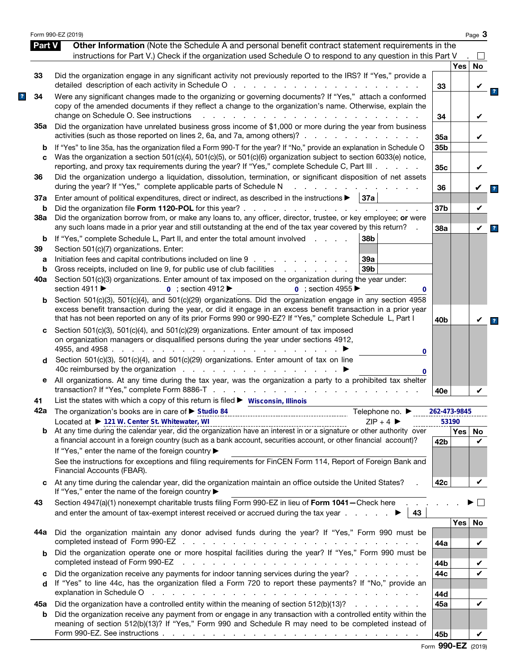|               | Form 990-EZ (2019)                                                                                                                                                                                                                                                                                                                                                               |                 |              | Page 3  |
|---------------|----------------------------------------------------------------------------------------------------------------------------------------------------------------------------------------------------------------------------------------------------------------------------------------------------------------------------------------------------------------------------------|-----------------|--------------|---------|
| <b>Part V</b> | Other Information (Note the Schedule A and personal benefit contract statement requirements in the<br>instructions for Part V.) Check if the organization used Schedule O to respond to any question in this Part V                                                                                                                                                              |                 |              |         |
|               |                                                                                                                                                                                                                                                                                                                                                                                  |                 | <b>Yes</b>   | No      |
| 33            | Did the organization engage in any significant activity not previously reported to the IRS? If "Yes," provide a                                                                                                                                                                                                                                                                  | 33              |              |         |
| 34            | Were any significant changes made to the organizing or governing documents? If "Yes," attach a conformed<br>copy of the amended documents if they reflect a change to the organization's name. Otherwise, explain the<br>change on Schedule O. See instructions<br>and a state of the state of the state of the state of the state of the state of the state of the state of the | 34              |              |         |
| 35а           | Did the organization have unrelated business gross income of \$1,000 or more during the year from business<br>activities (such as those reported on lines 2, 6a, and 7a, among others)?                                                                                                                                                                                          | 35a             |              |         |
| b<br>C        | If "Yes" to line 35a, has the organization filed a Form 990-T for the year? If "No," provide an explanation in Schedule O<br>Was the organization a section 501(c)(4), 501(c)(5), or 501(c)(6) organization subject to section 6033(e) notice,                                                                                                                                   | 35 <sub>b</sub> |              |         |
| 36            | reporting, and proxy tax requirements during the year? If "Yes," complete Schedule C, Part III<br>Did the organization undergo a liquidation, dissolution, termination, or significant disposition of net assets                                                                                                                                                                 | 35c             |              | V       |
| 37a           | during the year? If "Yes," complete applicable parts of Schedule N<br>Enter amount of political expenditures, direct or indirect, as described in the instructions $\blacktriangleright$   37a                                                                                                                                                                                   | 36              |              |         |
| b<br>38a      | Did the organization file Form 1120-POL for this year?.<br>Did the organization borrow from, or make any loans to, any officer, director, trustee, or key employee; or were                                                                                                                                                                                                      | 37b             |              | V       |
| b             | any such loans made in a prior year and still outstanding at the end of the tax year covered by this return?<br>If "Yes," complete Schedule L, Part II, and enter the total amount involved<br>38b                                                                                                                                                                               | 38a             |              | V       |
| 39<br>а       | Section 501(c)(7) organizations. Enter:<br>Initiation fees and capital contributions included on line 9<br>39a                                                                                                                                                                                                                                                                   |                 |              |         |
| b             | Gross receipts, included on line 9, for public use of club facilities<br>39 <sub>b</sub><br>and the company of the company of                                                                                                                                                                                                                                                    |                 |              |         |
| 40a           | Section 501(c)(3) organizations. Enter amount of tax imposed on the organization during the year under:<br>section 4911 ▶<br>$\overline{0}$ ; section 4912<br>$\overline{0}$ : section 4955<br>0                                                                                                                                                                                 |                 |              |         |
| b             | Section 501(c)(3), 501(c)(4), and 501(c)(29) organizations. Did the organization engage in any section 4958<br>excess benefit transaction during the year, or did it engage in an excess benefit transaction in a prior year<br>that has not been reported on any of its prior Forms 990 or 990-EZ? If "Yes," complete Schedule L, Part I                                        | 40 <sub>b</sub> |              |         |
| c             | Section 501(c)(3), 501(c)(4), and 501(c)(29) organizations. Enter amount of tax imposed<br>on organization managers or disqualified persons during the year under sections 4912,<br>4955, and 4958.<br>and a state of the state of the<br>0                                                                                                                                      |                 |              |         |
| d             | Section 501(c)(3), 501(c)(4), and 501(c)(29) organizations. Enter amount of tax on line<br>0                                                                                                                                                                                                                                                                                     |                 |              |         |
| е             | All organizations. At any time during the tax year, was the organization a party to a prohibited tax shelter                                                                                                                                                                                                                                                                     | 40e             |              |         |
| 41            | List the states with which a copy of this return is filed ► Wisconsin, Illinois                                                                                                                                                                                                                                                                                                  |                 |              |         |
|               | Telephone no. $\blacktriangleright$                                                                                                                                                                                                                                                                                                                                              | 262-473-9845    |              |         |
| b             | Located at ▶ 121 W. Center St. Whitewater, WI<br>$ZIP + 4$<br>Located at $\triangleright$ 121 W. Center St. Whitewater, WI<br>At any time during the calendar year, did the organization have an interest in or a signature or other authority over<br>a financial account in a foreign country (such as a bank account, securities account, or other financial account)?        | 42b             | 53190<br>Yes | No<br>V |
|               | If "Yes," enter the name of the foreign country ▶<br>See the instructions for exceptions and filing requirements for FinCEN Form 114, Report of Foreign Bank and<br>Financial Accounts (FBAR).                                                                                                                                                                                   |                 |              |         |
| C             | At any time during the calendar year, did the organization maintain an office outside the United States?<br>If "Yes," enter the name of the foreign country ▶                                                                                                                                                                                                                    | 42c             |              | V       |
| 43            | Section 4947(a)(1) nonexempt charitable trusts filing Form 990-EZ in lieu of Form 1041-Check here<br>and enter the amount of tax-exempt interest received or accrued during the tax year $\ldots$ .<br>43                                                                                                                                                                        |                 |              |         |
| 44а           | Did the organization maintain any donor advised funds during the year? If "Yes," Form 990 must be                                                                                                                                                                                                                                                                                | 44a             | Yes          | No<br>V |
| b             | Did the organization operate one or more hospital facilities during the year? If "Yes," Form 990 must be<br>completed instead of Form 990-EZ<br>the contract of the contract of the contract of the contract of the contract of                                                                                                                                                  | 44b             |              |         |
| c             | Did the organization receive any payments for indoor tanning services during the year?                                                                                                                                                                                                                                                                                           | 44c             |              |         |
| d             | If "Yes" to line 44c, has the organization filed a Form 720 to report these payments? If "No," provide an<br>explanation in Schedule O<br>and the contract of the contract of the contract of the contract of the contract of                                                                                                                                                    | 44d             |              |         |
| 45а           | Did the organization have a controlled entity within the meaning of section 512(b)(13)?                                                                                                                                                                                                                                                                                          | 45a             |              | V       |
| b             | Did the organization receive any payment from or engage in any transaction with a controlled entity within the<br>meaning of section 512(b)(13)? If "Yes," Form 990 and Schedule R may need to be completed instead of                                                                                                                                                           |                 |              |         |
|               |                                                                                                                                                                                                                                                                                                                                                                                  | 45b             |              |         |

|  | Form 990-EZ (2019) |  |
|--|--------------------|--|
|--|--------------------|--|